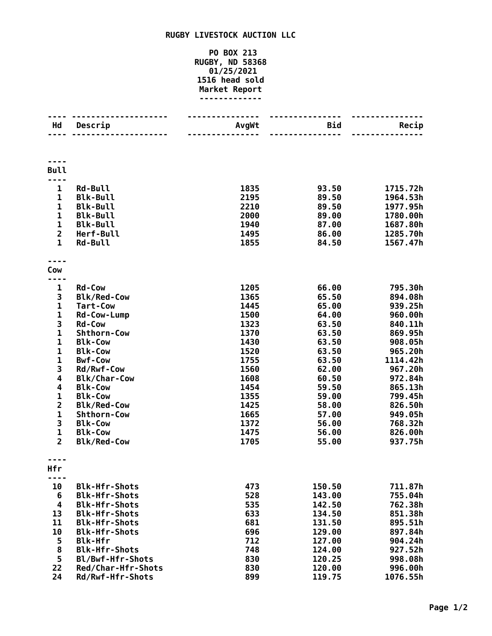## **RUGBY LIVESTOCK AUCTION LLC**

## **PO BOX 213 RUGBY, ND 58368 01/25/2021 head sold Market Report -------------**

| Hd                           | Descrip                              | AvgWt        | Bid<br>$- - - - - - -$ | Recip                |
|------------------------------|--------------------------------------|--------------|------------------------|----------------------|
|                              |                                      |              |                        |                      |
| <b>Bull</b>                  |                                      |              |                        |                      |
|                              |                                      |              |                        |                      |
| $\mathbf{1}$<br>$\mathbf{1}$ | <b>Rd-Bull</b><br><b>Blk-Bull</b>    | 1835<br>2195 | 93.50<br>89.50         | 1715.72h<br>1964.53h |
| $\mathbf{1}$                 | <b>Blk-Bull</b>                      | 2210         | 89.50                  | 1977.95h             |
| $\mathbf 1$                  | <b>Blk-Bull</b>                      | 2000         | 89.00                  | 1780.00h             |
| $\mathbf 1$                  | <b>Blk-Bull</b>                      | 1940         | 87.00                  | 1687.80h             |
| $\overline{2}$               | Herf-Bull                            | 1495         | 86.00                  | 1285.70h             |
| $\mathbf{1}$                 | <b>Rd-Bull</b>                       | 1855         | 84.50                  | 1567.47h             |
|                              |                                      |              |                        |                      |
| Cow                          |                                      |              |                        |                      |
| 1                            | <b>Rd-Cow</b>                        | 1205         | 66.00                  | 795.30h              |
| 3                            | <b>Blk/Red-Cow</b>                   | 1365         | 65.50                  | 894.08h              |
| $\mathbf{1}$                 | <b>Tart-Cow</b>                      | 1445         | 65.00                  | 939.25h              |
| 1                            | Rd-Cow-Lump                          | 1500         | 64.00                  | 960.00h              |
| 3                            | <b>Rd-Cow</b>                        | 1323         | 63.50                  | 840.11h              |
| $\mathbf 1$                  | Shthorn-Cow                          | 1370         | 63.50                  | 869.95h              |
| $\mathbf 1$                  | <b>Blk-Cow</b>                       | 1430         | 63.50                  | 908.05h              |
| $\mathbf{1}$                 | <b>Blk-Cow</b>                       | 1520         | 63.50                  | 965.20h              |
| $\mathbf 1$                  | <b>Bwf-Cow</b>                       | 1755         | 63.50                  | 1114.42h             |
| 3                            | Rd/Rwf-Cow                           | 1560         | 62.00                  | 967.20h              |
| 4                            | <b>Blk/Char-Cow</b>                  | 1608         | 60.50                  | 972.84h              |
| 4                            | <b>Blk-Cow</b>                       | 1454         | 59.50                  | 865.13h              |
| $\mathbf{1}$                 | <b>Blk-Cow</b>                       | 1355         | 59.00                  | 799.45h              |
| $\overline{\mathbf{2}}$      | <b>Blk/Red-Cow</b>                   | 1425         | 58.00                  | 826.50h              |
| $\mathbf{1}$                 | Shthorn-Cow                          | 1665         | 57.00                  | 949.05h              |
| 3<br>$\mathbf{1}$            | <b>Blk-Cow</b>                       | 1372         | 56.00                  | 768.32h              |
| $\overline{2}$               | <b>Blk-Cow</b><br><b>Blk/Red-Cow</b> | 1475<br>1705 | 56.00<br>55.00         | 826.00h<br>937.75h   |
|                              |                                      |              |                        |                      |
| Hfr                          |                                      |              |                        |                      |
| ----                         |                                      |              |                        |                      |
| 10                           | <b>Blk-Hfr-Shots</b>                 | 473          | 150.50                 | 711.87h              |
| 6                            | <b>Blk-Hfr-Shots</b>                 | 528          | 143.00                 | 755.04h              |
| 4                            | <b>Blk-Hfr-Shots</b>                 | 535          | 142.50                 | 762.38h              |
| 13                           | <b>Blk-Hfr-Shots</b>                 | 633          | 134.50                 | 851.38h              |
| 11                           | <b>Blk-Hfr-Shots</b>                 | 681          | 131.50                 | 895.51h              |
| 10                           | <b>Blk-Hfr-Shots</b>                 | 696          | 129.00                 | 897.84h              |
| 5                            | <b>Blk-Hfr</b>                       | 712          | 127.00                 | 904.24h              |
| 8                            | <b>Blk-Hfr-Shots</b>                 | 748          | 124.00                 | 927.52h              |
| 5                            | Bl/Bwf-Hfr-Shots                     | 830          | 120.25                 | 998.08h              |
| 22                           | Red/Char-Hfr-Shots                   | 830          | 120.00                 | 996.00h              |
| 24                           | Rd/Rwf-Hfr-Shots                     | 899          | 119.75                 | 1076.55h             |